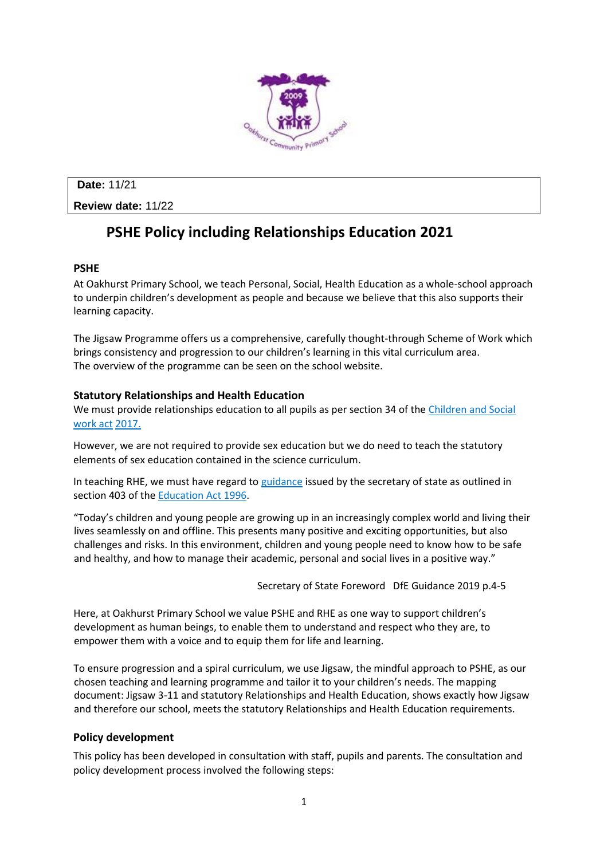

**Date:** 11/21

**Review date:** 11/22

# **PSHE Policy including Relationships Education 2021**

## **PSHE**

At Oakhurst Primary School, we teach Personal, Social, Health Education as a whole-school approach to underpin children's development as people and because we believe that this also supports their learning capacity.

The Jigsaw Programme offers us a comprehensive, carefully thought-through Scheme of Work which brings consistency and progression to our children's learning in this vital curriculum area. The overview of the programme can be seen on the school website.

## **Statutory Relationships and Health Education**

We must provide relationships education to all pupils as per section 34 of th[e Children and Social](http://www.legislation.gov.uk/ukpga/2017/16/section/34/enacted)  [work act](http://www.legislation.gov.uk/ukpga/2017/16/section/34/enacted) [2017.](http://www.legislation.gov.uk/ukpga/2017/16/section/34/enacted)

However, we are not required to provide sex education but we do need to teach the statutory elements of sex education contained in the science curriculum.

In teaching RHE, we must have regard to [guidance](https://www.gov.uk/government/consultations/relationships-and-sex-education-and-health-education) issued by the secretary of state as outlined in section 403 of th[e](http://www.legislation.gov.uk/ukpga/1996/56/contents) [Education Act](http://www.legislation.gov.uk/ukpga/1996/56/contents) 199[6.](http://www.legislation.gov.uk/ukpga/1996/56/contents) 

"Today's children and young people are growing up in an increasingly complex world and living their lives seamlessly on and offline. This presents many positive and exciting opportunities, but also challenges and risks. In this environment, children and young people need to know how to be safe and healthy, and how to manage their academic, personal and social lives in a positive way."

Secretary of State Foreword DfE Guidance 2019 p.4-5

Here, at Oakhurst Primary School we value PSHE and RHE as one way to support children's development as human beings, to enable them to understand and respect who they are, to empower them with a voice and to equip them for life and learning.

To ensure progression and a spiral curriculum, we use Jigsaw, the mindful approach to PSHE, as our chosen teaching and learning programme and tailor it to your children's needs. The mapping document: Jigsaw 3-11 and statutory Relationships and Health Education, shows exactly how Jigsaw and therefore our school, meets the statutory Relationships and Health Education requirements.

## **Policy development**

This policy has been developed in consultation with staff, pupils and parents. The consultation and policy development process involved the following steps: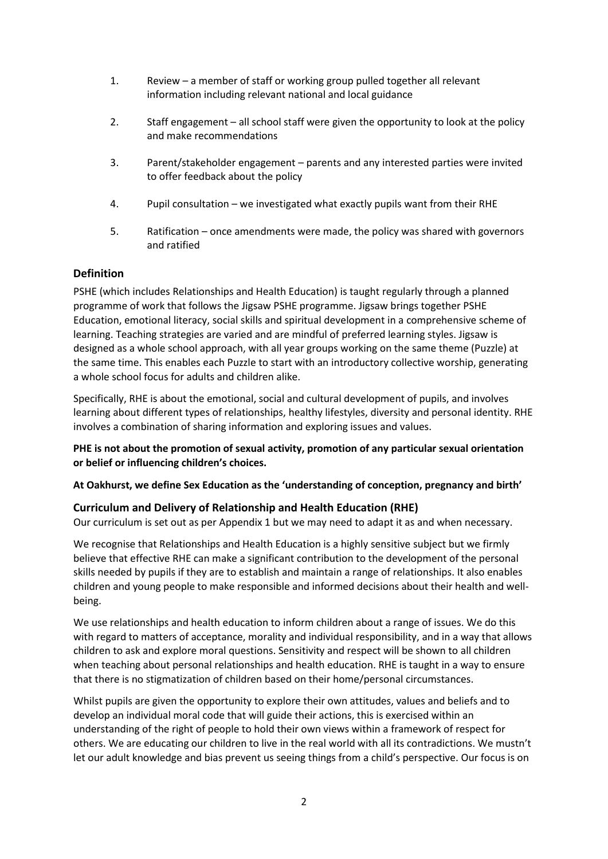- 1. Review a member of staff or working group pulled together all relevant information including relevant national and local guidance
- 2. Staff engagement all school staff were given the opportunity to look at the policy and make recommendations
- 3. Parent/stakeholder engagement parents and any interested parties were invited to offer feedback about the policy
- 4. Pupil consultation we investigated what exactly pupils want from their RHE
- 5. Ratification once amendments were made, the policy was shared with governors and ratified

#### **Definition**

PSHE (which includes Relationships and Health Education) is taught regularly through a planned programme of work that follows the Jigsaw PSHE programme. Jigsaw brings together PSHE Education, emotional literacy, social skills and spiritual development in a comprehensive scheme of learning. Teaching strategies are varied and are mindful of preferred learning styles. Jigsaw is designed as a whole school approach, with all year groups working on the same theme (Puzzle) at the same time. This enables each Puzzle to start with an introductory collective worship, generating a whole school focus for adults and children alike.

Specifically, RHE is about the emotional, social and cultural development of pupils, and involves learning about different types of relationships, healthy lifestyles, diversity and personal identity. RHE involves a combination of sharing information and exploring issues and values.

**PHE is not about the promotion of sexual activity, promotion of any particular sexual orientation or belief or influencing children's choices.** 

#### **At Oakhurst, we define Sex Education as the 'understanding of conception, pregnancy and birth'**

#### **Curriculum and Delivery of Relationship and Health Education (RHE)**

Our curriculum is set out as per Appendix 1 but we may need to adapt it as and when necessary.

We recognise that Relationships and Health Education is a highly sensitive subject but we firmly believe that effective RHE can make a significant contribution to the development of the personal skills needed by pupils if they are to establish and maintain a range of relationships. It also enables children and young people to make responsible and informed decisions about their health and wellbeing.

We use relationships and health education to inform children about a range of issues. We do this with regard to matters of acceptance, morality and individual responsibility, and in a way that allows children to ask and explore moral questions. Sensitivity and respect will be shown to all children when teaching about personal relationships and health education. RHE is taught in a way to ensure that there is no stigmatization of children based on their home/personal circumstances.

Whilst pupils are given the opportunity to explore their own attitudes, values and beliefs and to develop an individual moral code that will guide their actions, this is exercised within an understanding of the right of people to hold their own views within a framework of respect for others. We are educating our children to live in the real world with all its contradictions. We mustn't let our adult knowledge and bias prevent us seeing things from a child's perspective. Our focus is on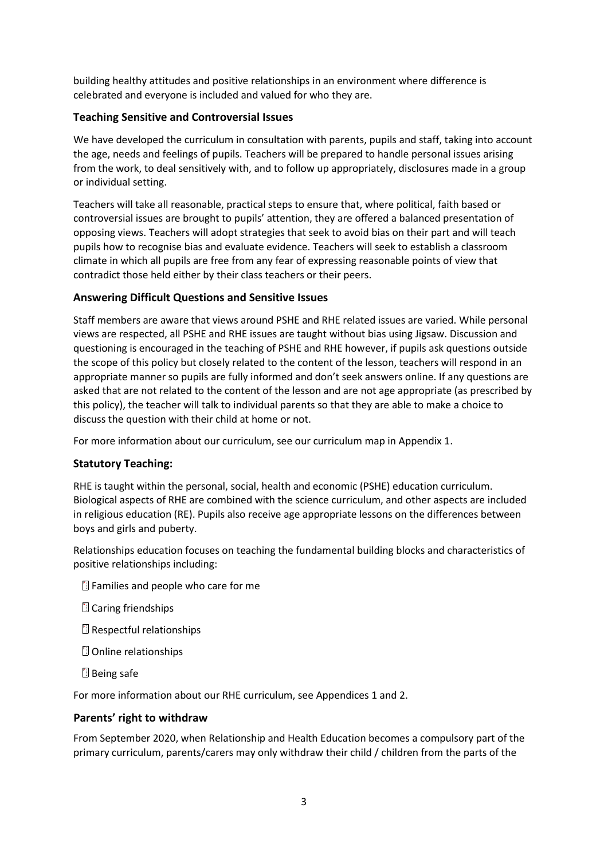building healthy attitudes and positive relationships in an environment where difference is celebrated and everyone is included and valued for who they are.

## **Teaching Sensitive and Controversial Issues**

We have developed the curriculum in consultation with parents, pupils and staff, taking into account the age, needs and feelings of pupils. Teachers will be prepared to handle personal issues arising from the work, to deal sensitively with, and to follow up appropriately, disclosures made in a group or individual setting.

Teachers will take all reasonable, practical steps to ensure that, where political, faith based or controversial issues are brought to pupils' attention, they are offered a balanced presentation of opposing views. Teachers will adopt strategies that seek to avoid bias on their part and will teach pupils how to recognise bias and evaluate evidence. Teachers will seek to establish a classroom climate in which all pupils are free from any fear of expressing reasonable points of view that contradict those held either by their class teachers or their peers.

#### **Answering Difficult Questions and Sensitive Issues**

Staff members are aware that views around PSHE and RHE related issues are varied. While personal views are respected, all PSHE and RHE issues are taught without bias using Jigsaw. Discussion and questioning is encouraged in the teaching of PSHE and RHE however, if pupils ask questions outside the scope of this policy but closely related to the content of the lesson, teachers will respond in an appropriate manner so pupils are fully informed and don't seek answers online. If any questions are asked that are not related to the content of the lesson and are not age appropriate (as prescribed by this policy), the teacher will talk to individual parents so that they are able to make a choice to discuss the question with their child at home or not.

For more information about our curriculum, see our curriculum map in Appendix 1.

#### **Statutory Teaching:**

RHE is taught within the personal, social, health and economic (PSHE) education curriculum. Biological aspects of RHE are combined with the science curriculum, and other aspects are included in religious education (RE). Pupils also receive age appropriate lessons on the differences between boys and girls and puberty.

Relationships education focuses on teaching the fundamental building blocks and characteristics of positive relationships including:

- **E** Families and people who care for me
- **Caring friendships**
- **Respectful relationships**
- Online relationships
- **Being safe**

For more information about our RHE curriculum, see Appendices 1 and 2.

#### **Parents' right to withdraw**

From September 2020, when Relationship and Health Education becomes a compulsory part of the primary curriculum, parents/carers may only withdraw their child / children from the parts of the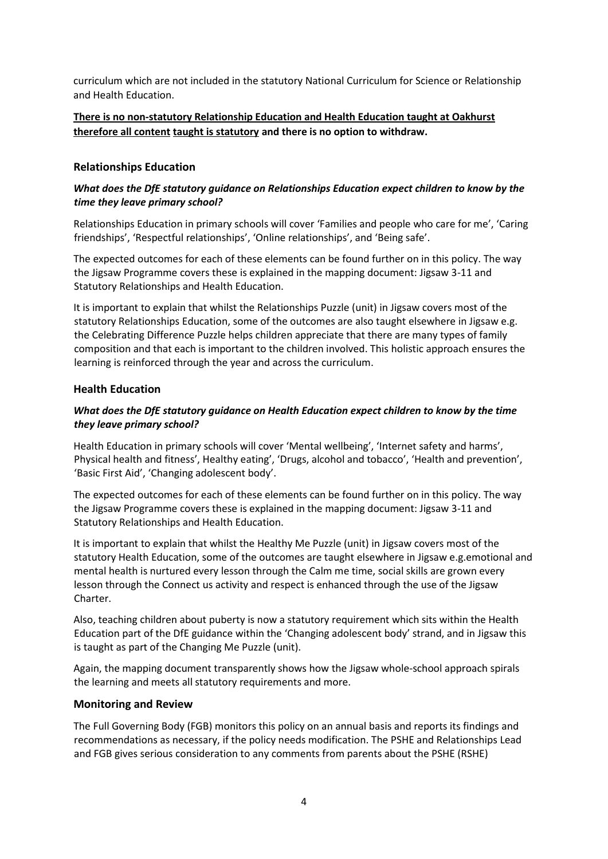curriculum which are not included in the statutory National Curriculum for Science or Relationship and Health Education.

## **There is no non-statutory Relationship Education and Health Education taught at Oakhurst therefore all content taught is statutory and there is no option to withdraw.**

#### **Relationships Education**

#### *What does the DfE statutory guidance on Relationships Education expect children to know by the time they leave primary school?*

Relationships Education in primary schools will cover 'Families and people who care for me', 'Caring friendships', 'Respectful relationships', 'Online relationships', and 'Being safe'.

The expected outcomes for each of these elements can be found further on in this policy. The way the Jigsaw Programme covers these is explained in the mapping document: Jigsaw 3-11 and Statutory Relationships and Health Education.

It is important to explain that whilst the Relationships Puzzle (unit) in Jigsaw covers most of the statutory Relationships Education, some of the outcomes are also taught elsewhere in Jigsaw e.g. the Celebrating Difference Puzzle helps children appreciate that there are many types of family composition and that each is important to the children involved. This holistic approach ensures the learning is reinforced through the year and across the curriculum.

#### **Health Education**

#### *What does the DfE statutory guidance on Health Education expect children to know by the time they leave primary school?*

Health Education in primary schools will cover 'Mental wellbeing', 'Internet safety and harms', Physical health and fitness', Healthy eating', 'Drugs, alcohol and tobacco', 'Health and prevention', 'Basic First Aid', 'Changing adolescent body'.

The expected outcomes for each of these elements can be found further on in this policy. The way the Jigsaw Programme covers these is explained in the mapping document: Jigsaw 3-11 and Statutory Relationships and Health Education.

It is important to explain that whilst the Healthy Me Puzzle (unit) in Jigsaw covers most of the statutory Health Education, some of the outcomes are taught elsewhere in Jigsaw e.g.emotional and mental health is nurtured every lesson through the Calm me time, social skills are grown every lesson through the Connect us activity and respect is enhanced through the use of the Jigsaw Charter.

Also, teaching children about puberty is now a statutory requirement which sits within the Health Education part of the DfE guidance within the 'Changing adolescent body' strand, and in Jigsaw this is taught as part of the Changing Me Puzzle (unit).

Again, the mapping document transparently shows how the Jigsaw whole-school approach spirals the learning and meets all statutory requirements and more.

#### **Monitoring and Review**

The Full Governing Body (FGB) monitors this policy on an annual basis and reports its findings and recommendations as necessary, if the policy needs modification. The PSHE and Relationships Lead and FGB gives serious consideration to any comments from parents about the PSHE (RSHE)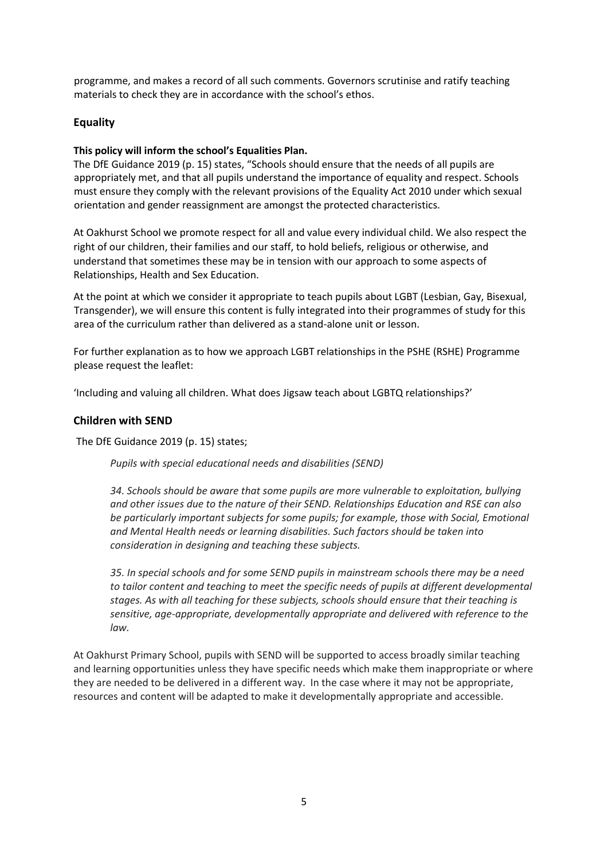programme, and makes a record of all such comments. Governors scrutinise and ratify teaching materials to check they are in accordance with the school's ethos.

## **Equality**

#### **This policy will inform the school's Equalities Plan.**

The DfE Guidance 2019 (p. 15) states, "Schools should ensure that the needs of all pupils are appropriately met, and that all pupils understand the importance of equality and respect. Schools must ensure they comply with the relevant provisions of the Equality Act 2010 under which sexual orientation and gender reassignment are amongst the protected characteristics.

At Oakhurst School we promote respect for all and value every individual child. We also respect the right of our children, their families and our staff, to hold beliefs, religious or otherwise, and understand that sometimes these may be in tension with our approach to some aspects of Relationships, Health and Sex Education.

At the point at which we consider it appropriate to teach pupils about LGBT (Lesbian, Gay, Bisexual, Transgender), we will ensure this content is fully integrated into their programmes of study for this area of the curriculum rather than delivered as a stand-alone unit or lesson.

For further explanation as to how we approach LGBT relationships in the PSHE (RSHE) Programme please request the leaflet:

'Including and valuing all children. What does Jigsaw teach about LGBTQ relationships?'

#### **Children with SEND**

The DfE Guidance 2019 (p. 15) states;

*Pupils with special educational needs and disabilities (SEND)*

*34. Schools should be aware that some pupils are more vulnerable to exploitation, bullying and other issues due to the nature of their SEND. Relationships Education and RSE can also be particularly important subjects for some pupils; for example, those with Social, Emotional and Mental Health needs or learning disabilities. Such factors should be taken into consideration in designing and teaching these subjects.*

*35. In special schools and for some SEND pupils in mainstream schools there may be a need to tailor content and teaching to meet the specific needs of pupils at different developmental stages. As with all teaching for these subjects, schools should ensure that their teaching is sensitive, age-appropriate, developmentally appropriate and delivered with reference to the law.*

At Oakhurst Primary School, pupils with SEND will be supported to access broadly similar teaching and learning opportunities unless they have specific needs which make them inappropriate or where they are needed to be delivered in a different way. In the case where it may not be appropriate, resources and content will be adapted to make it developmentally appropriate and accessible.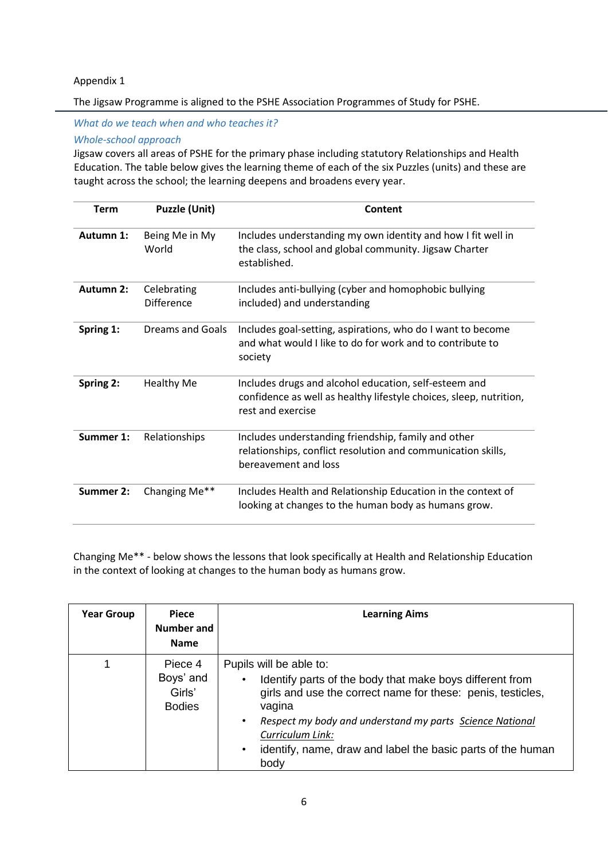#### Appendix 1

The Jigsaw Programme is aligned to the PSHE Association Programmes of Study for PSHE.

*What do we teach when and who teaches it?*

*Whole-school approach*

Jigsaw covers all areas of PSHE for the primary phase including statutory Relationships and Health Education. The table below gives the learning theme of each of the six Puzzles (units) and these are taught across the school; the learning deepens and broadens every year.

| <b>Term</b>      | <b>Puzzle (Unit)</b>             | Content                                                                                                                                          |  |  |
|------------------|----------------------------------|--------------------------------------------------------------------------------------------------------------------------------------------------|--|--|
| Autumn 1:        | Being Me in My<br>World          | Includes understanding my own identity and how I fit well in<br>the class, school and global community. Jigsaw Charter<br>established.           |  |  |
| <b>Autumn 2:</b> | Celebrating<br><b>Difference</b> | Includes anti-bullying (cyber and homophobic bullying<br>included) and understanding                                                             |  |  |
| Spring 1:        | Dreams and Goals                 | Includes goal-setting, aspirations, who do I want to become<br>and what would I like to do for work and to contribute to<br>society              |  |  |
| Spring 2:        | <b>Healthy Me</b>                | Includes drugs and alcohol education, self-esteem and<br>confidence as well as healthy lifestyle choices, sleep, nutrition,<br>rest and exercise |  |  |
| Summer 1:        | Relationships                    | Includes understanding friendship, family and other<br>relationships, conflict resolution and communication skills,<br>bereavement and loss      |  |  |
| Summer 2:        | Changing Me**                    | Includes Health and Relationship Education in the context of<br>looking at changes to the human body as humans grow.                             |  |  |

Changing Me\*\* - below shows the lessons that look specifically at Health and Relationship Education in the context of looking at changes to the human body as humans grow.

| <b>Year Group</b> | Piece<br>Number and<br><b>Name</b>              | <b>Learning Aims</b>                                                                                                                                                                                                                                                                                                                               |
|-------------------|-------------------------------------------------|----------------------------------------------------------------------------------------------------------------------------------------------------------------------------------------------------------------------------------------------------------------------------------------------------------------------------------------------------|
|                   | Piece 4<br>Boys' and<br>Girls'<br><b>Bodies</b> | Pupils will be able to:<br>Identify parts of the body that make boys different from<br>$\bullet$<br>girls and use the correct name for these: penis, testicles,<br>vagina<br>Respect my body and understand my parts Science National<br>٠<br>Curriculum Link:<br>identify, name, draw and label the basic parts of the human<br>$\bullet$<br>body |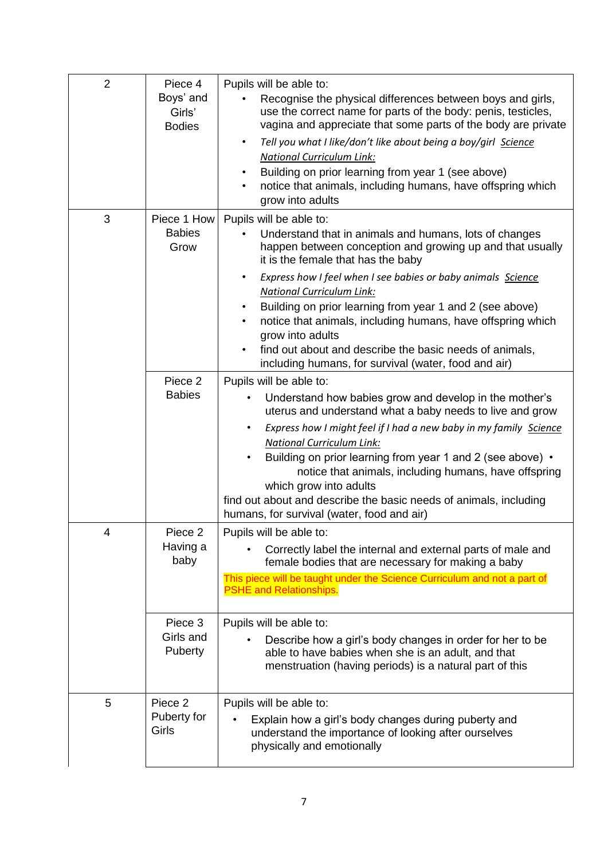| $\overline{2}$ | Piece 4<br>Boys' and<br>Girls'<br><b>Bodies</b> | Pupils will be able to:<br>Recognise the physical differences between boys and girls,<br>use the correct name for parts of the body: penis, testicles,<br>vagina and appreciate that some parts of the body are private<br>Tell you what I like/don't like about being a boy/girl Science<br>$\bullet$<br><b>National Curriculum Link:</b><br>Building on prior learning from year 1 (see above)<br>notice that animals, including humans, have offspring which<br>grow into adults                                                                                     |  |
|----------------|-------------------------------------------------|-------------------------------------------------------------------------------------------------------------------------------------------------------------------------------------------------------------------------------------------------------------------------------------------------------------------------------------------------------------------------------------------------------------------------------------------------------------------------------------------------------------------------------------------------------------------------|--|
| 3              | Piece 1 How<br><b>Babies</b><br>Grow            | Pupils will be able to:<br>Understand that in animals and humans, lots of changes<br>happen between conception and growing up and that usually<br>it is the female that has the baby<br>Express how I feel when I see babies or baby animals Science<br>$\bullet$<br><b>National Curriculum Link:</b><br>Building on prior learning from year 1 and 2 (see above)<br>notice that animals, including humans, have offspring which<br>grow into adults<br>find out about and describe the basic needs of animals,<br>including humans, for survival (water, food and air) |  |
|                | Piece <sub>2</sub><br><b>Babies</b>             | Pupils will be able to:<br>Understand how babies grow and develop in the mother's<br>uterus and understand what a baby needs to live and grow<br>Express how I might feel if I had a new baby in my family Science<br>$\bullet$<br><b>National Curriculum Link:</b><br>Building on prior learning from year 1 and 2 (see above) .<br>$\bullet$<br>notice that animals, including humans, have offspring<br>which grow into adults<br>find out about and describe the basic needs of animals, including<br>humans, for survival (water, food and air)                    |  |
| 4              | Piece <sub>2</sub><br>Having a<br>baby          | Pupils will be able to:<br>Correctly label the internal and external parts of male and<br>female bodies that are necessary for making a baby<br>This piece will be taught under the Science Curriculum and not a part of<br><b>PSHE and Relationships.</b>                                                                                                                                                                                                                                                                                                              |  |
|                | Piece 3<br>Girls and<br>Puberty                 | Pupils will be able to:<br>Describe how a girl's body changes in order for her to be<br>able to have babies when she is an adult, and that<br>menstruation (having periods) is a natural part of this                                                                                                                                                                                                                                                                                                                                                                   |  |
| 5              | Piece 2<br>Puberty for<br>Girls                 | Pupils will be able to:<br>Explain how a girl's body changes during puberty and<br>understand the importance of looking after ourselves<br>physically and emotionally                                                                                                                                                                                                                                                                                                                                                                                                   |  |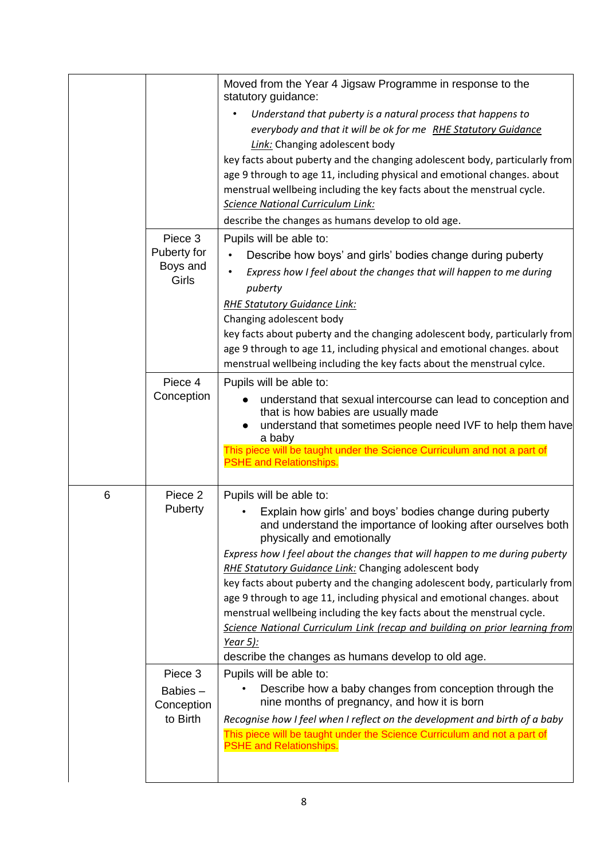|   |                                              | Moved from the Year 4 Jigsaw Programme in response to the<br>statutory guidance:<br>Understand that puberty is a natural process that happens to<br>$\bullet$<br>everybody and that it will be ok for me RHE Statutory Guidance<br><b>Link:</b> Changing adolescent body<br>key facts about puberty and the changing adolescent body, particularly from<br>age 9 through to age 11, including physical and emotional changes. about<br>menstrual wellbeing including the key facts about the menstrual cycle.<br><b>Science National Curriculum Link:</b><br>describe the changes as humans develop to old age.                                                                                                                |
|---|----------------------------------------------|--------------------------------------------------------------------------------------------------------------------------------------------------------------------------------------------------------------------------------------------------------------------------------------------------------------------------------------------------------------------------------------------------------------------------------------------------------------------------------------------------------------------------------------------------------------------------------------------------------------------------------------------------------------------------------------------------------------------------------|
|   | Piece 3<br>Puberty for<br>Boys and<br>Girls  | Pupils will be able to:<br>Describe how boys' and girls' bodies change during puberty<br>Express how I feel about the changes that will happen to me during<br>puberty<br><b>RHE Statutory Guidance Link:</b><br>Changing adolescent body<br>key facts about puberty and the changing adolescent body, particularly from<br>age 9 through to age 11, including physical and emotional changes. about<br>menstrual wellbeing including the key facts about the menstrual cylce.                                                                                                                                                                                                                                                 |
|   | Piece 4<br>Conception                        | Pupils will be able to:<br>understand that sexual intercourse can lead to conception and<br>that is how babies are usually made<br>understand that sometimes people need IVF to help them have<br>a baby<br>This piece will be taught under the Science Curriculum and not a part of<br><b>PSHE and Relationships.</b>                                                                                                                                                                                                                                                                                                                                                                                                         |
| 6 | Piece 2<br>Puberty                           | Pupils will be able to:<br>Explain how girls' and boys' bodies change during puberty<br>and understand the importance of looking after ourselves both<br>physically and emotionally<br>Express how I feel about the changes that will happen to me during puberty<br><b>RHE Statutory Guidance Link: Changing adolescent body</b><br>key facts about puberty and the changing adolescent body, particularly from<br>age 9 through to age 11, including physical and emotional changes. about<br>menstrual wellbeing including the key facts about the menstrual cycle.<br>Science National Curriculum Link (recap and building on prior learning from<br><u>Year 5):</u><br>describe the changes as humans develop to old age. |
|   | Piece 3<br>Babies-<br>Conception<br>to Birth | Pupils will be able to:<br>Describe how a baby changes from conception through the<br>nine months of pregnancy, and how it is born<br>Recognise how I feel when I reflect on the development and birth of a baby<br>This piece will be taught under the Science Curriculum and not a part of<br><b>PSHE and Relationships.</b>                                                                                                                                                                                                                                                                                                                                                                                                 |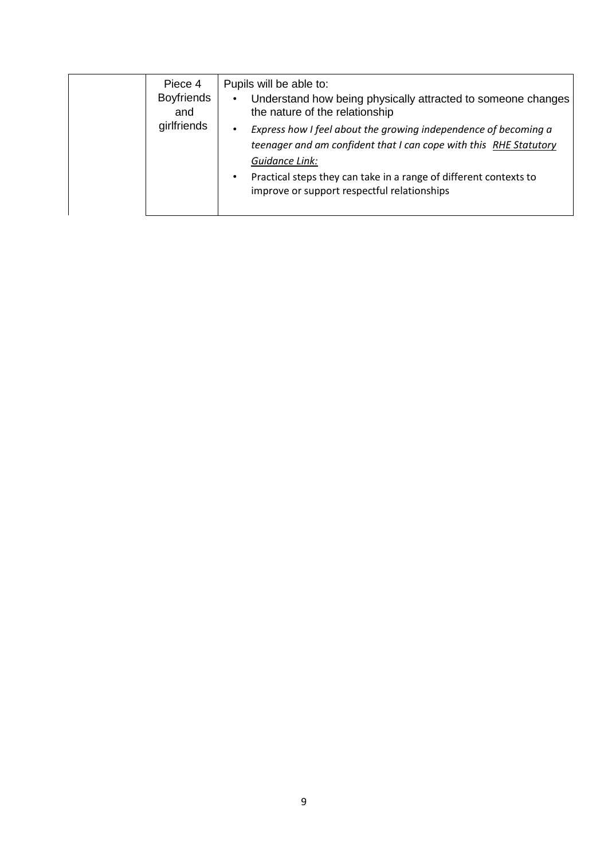| Piece 4<br><b>Boyfriends</b><br>and | Pupils will be able to:<br>Understand how being physically attracted to someone changes<br>$\bullet$<br>the nature of the relationship                                                                                                                                                  |
|-------------------------------------|-----------------------------------------------------------------------------------------------------------------------------------------------------------------------------------------------------------------------------------------------------------------------------------------|
| girlfriends                         | Express how I feel about the growing independence of becoming a<br>$\bullet$<br>teenager and am confident that I can cope with this RHE Statutory<br>Guidance Link:<br>Practical steps they can take in a range of different contexts to<br>improve or support respectful relationships |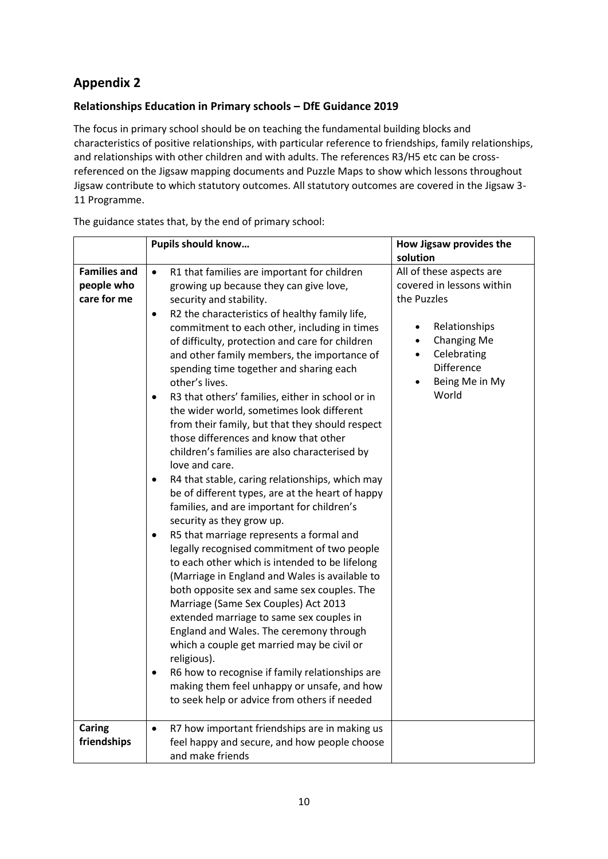## **Appendix 2**

## **Relationships Education in Primary schools – DfE Guidance 2019**

The focus in primary school should be on teaching the fundamental building blocks and characteristics of positive relationships, with particular reference to friendships, family relationships, and relationships with other children and with adults. The references R3/H5 etc can be crossreferenced on the Jigsaw mapping documents and Puzzle Maps to show which lessons throughout Jigsaw contribute to which statutory outcomes. All statutory outcomes are covered in the Jigsaw 3- 11 Programme.

|                                                                   | Pupils should know                                                                                                                                                                                                                                                                                                                                                                                                                                                                                                                                                                                                                                                                                                                                                                                                                                                                                                                                                                                                                                                                                                                                                                                                                                                                                                                                                                                                                                                                                                                                                          | How Jigsaw provides the                                                                                                                                                                |
|-------------------------------------------------------------------|-----------------------------------------------------------------------------------------------------------------------------------------------------------------------------------------------------------------------------------------------------------------------------------------------------------------------------------------------------------------------------------------------------------------------------------------------------------------------------------------------------------------------------------------------------------------------------------------------------------------------------------------------------------------------------------------------------------------------------------------------------------------------------------------------------------------------------------------------------------------------------------------------------------------------------------------------------------------------------------------------------------------------------------------------------------------------------------------------------------------------------------------------------------------------------------------------------------------------------------------------------------------------------------------------------------------------------------------------------------------------------------------------------------------------------------------------------------------------------------------------------------------------------------------------------------------------------|----------------------------------------------------------------------------------------------------------------------------------------------------------------------------------------|
|                                                                   |                                                                                                                                                                                                                                                                                                                                                                                                                                                                                                                                                                                                                                                                                                                                                                                                                                                                                                                                                                                                                                                                                                                                                                                                                                                                                                                                                                                                                                                                                                                                                                             | solution                                                                                                                                                                               |
| <b>Families and</b><br>people who<br>care for me<br><b>Caring</b> | R1 that families are important for children<br>$\bullet$<br>growing up because they can give love,<br>security and stability.<br>R2 the characteristics of healthy family life,<br>$\bullet$<br>commitment to each other, including in times<br>of difficulty, protection and care for children<br>and other family members, the importance of<br>spending time together and sharing each<br>other's lives.<br>R3 that others' families, either in school or in<br>$\bullet$<br>the wider world, sometimes look different<br>from their family, but that they should respect<br>those differences and know that other<br>children's families are also characterised by<br>love and care.<br>R4 that stable, caring relationships, which may<br>$\bullet$<br>be of different types, are at the heart of happy<br>families, and are important for children's<br>security as they grow up.<br>R5 that marriage represents a formal and<br>$\bullet$<br>legally recognised commitment of two people<br>to each other which is intended to be lifelong<br>(Marriage in England and Wales is available to<br>both opposite sex and same sex couples. The<br>Marriage (Same Sex Couples) Act 2013<br>extended marriage to same sex couples in<br>England and Wales. The ceremony through<br>which a couple get married may be civil or<br>religious).<br>R6 how to recognise if family relationships are<br>$\bullet$<br>making them feel unhappy or unsafe, and how<br>to seek help or advice from others if needed<br>R7 how important friendships are in making us<br>$\bullet$ | All of these aspects are<br>covered in lessons within<br>the Puzzles<br>Relationships<br>$\bullet$<br>Changing Me<br>$\bullet$<br>Celebrating<br>Difference<br>Being Me in My<br>World |
| friendships                                                       | feel happy and secure, and how people choose<br>and make friends                                                                                                                                                                                                                                                                                                                                                                                                                                                                                                                                                                                                                                                                                                                                                                                                                                                                                                                                                                                                                                                                                                                                                                                                                                                                                                                                                                                                                                                                                                            |                                                                                                                                                                                        |

The guidance states that, by the end of primary school: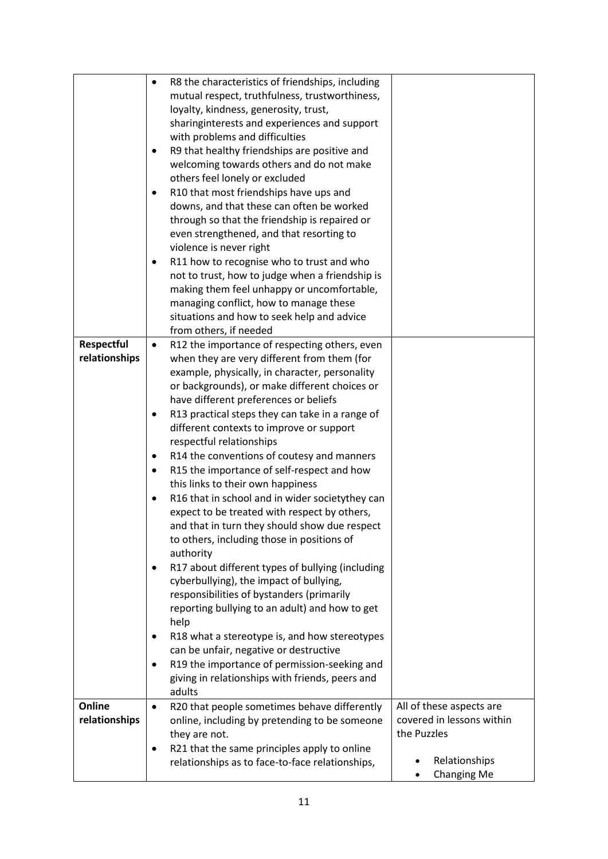|                   | R8 the characteristics of friendships, including<br>$\bullet$  |                                                       |
|-------------------|----------------------------------------------------------------|-------------------------------------------------------|
|                   | mutual respect, truthfulness, trustworthiness,                 |                                                       |
|                   | loyalty, kindness, generosity, trust,                          |                                                       |
|                   | sharinginterests and experiences and support                   |                                                       |
|                   | with problems and difficulties                                 |                                                       |
|                   | R9 that healthy friendships are positive and<br>٠              |                                                       |
|                   | welcoming towards others and do not make                       |                                                       |
|                   | others feel lonely or excluded                                 |                                                       |
|                   | R10 that most friendships have ups and<br>٠                    |                                                       |
|                   | downs, and that these can often be worked                      |                                                       |
|                   | through so that the friendship is repaired or                  |                                                       |
|                   | even strengthened, and that resorting to                       |                                                       |
|                   | violence is never right                                        |                                                       |
|                   | R11 how to recognise who to trust and who                      |                                                       |
|                   | not to trust, how to judge when a friendship is                |                                                       |
|                   | making them feel unhappy or uncomfortable,                     |                                                       |
|                   | managing conflict, how to manage these                         |                                                       |
|                   | situations and how to seek help and advice                     |                                                       |
|                   | from others, if needed                                         |                                                       |
| <b>Respectful</b> | R12 the importance of respecting others, even<br>$\bullet$     |                                                       |
| relationships     | when they are very different from them (for                    |                                                       |
|                   | example, physically, in character, personality                 |                                                       |
|                   | or backgrounds), or make different choices or                  |                                                       |
|                   | have different preferences or beliefs                          |                                                       |
|                   | R13 practical steps they can take in a range of<br>٠           |                                                       |
|                   | different contexts to improve or support                       |                                                       |
|                   | respectful relationships                                       |                                                       |
|                   | R14 the conventions of coutesy and manners<br>٠                |                                                       |
|                   | R15 the importance of self-respect and how<br>٠                |                                                       |
|                   | this links to their own happiness                              |                                                       |
|                   | R16 that in school and in wider societythey can<br>$\bullet$   |                                                       |
|                   | expect to be treated with respect by others,                   |                                                       |
|                   | and that in turn they should show due respect                  |                                                       |
|                   | to others, including those in positions of                     |                                                       |
|                   | authority                                                      |                                                       |
|                   | R17 about different types of bullying (including               |                                                       |
|                   | cyberbullying), the impact of bullying,                        |                                                       |
|                   | responsibilities of bystanders (primarily                      |                                                       |
|                   | reporting bullying to an adult) and how to get                 |                                                       |
|                   | help                                                           |                                                       |
|                   | R18 what a stereotype is, and how stereotypes                  |                                                       |
|                   | can be unfair, negative or destructive                         |                                                       |
|                   | R19 the importance of permission-seeking and<br>٠              |                                                       |
|                   | giving in relationships with friends, peers and                |                                                       |
| Online            | adults                                                         |                                                       |
| relationships     | R20 that people sometimes behave differently<br>$\bullet$      | All of these aspects are<br>covered in lessons within |
|                   | online, including by pretending to be someone<br>they are not. | the Puzzles                                           |
|                   | R21 that the same principles apply to online<br>٠              |                                                       |
|                   | relationships as to face-to-face relationships,                | Relationships                                         |
|                   |                                                                | <b>Changing Me</b>                                    |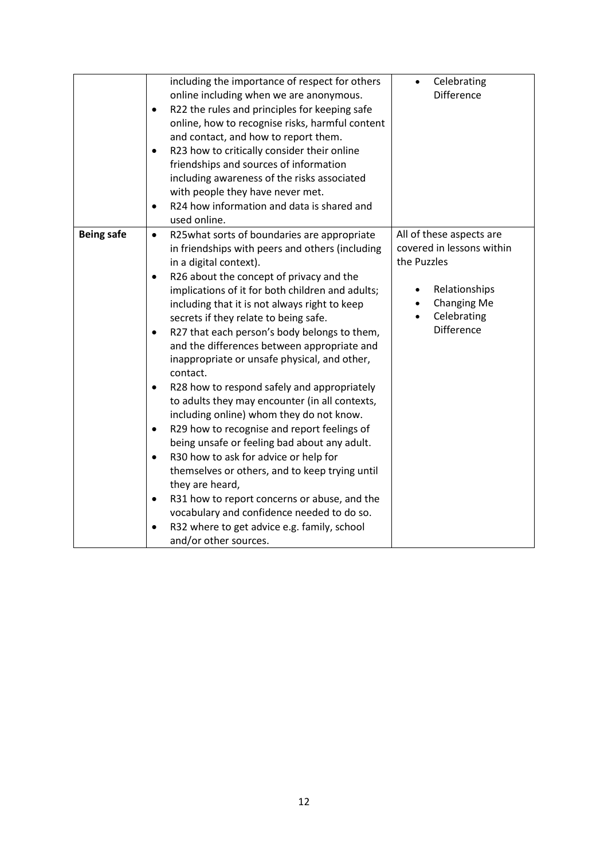|                   | including the importance of respect for others             | Celebrating               |
|-------------------|------------------------------------------------------------|---------------------------|
|                   | online including when we are anonymous.                    | <b>Difference</b>         |
|                   | R22 the rules and principles for keeping safe<br>$\bullet$ |                           |
|                   | online, how to recognise risks, harmful content            |                           |
|                   | and contact, and how to report them.                       |                           |
|                   | R23 how to critically consider their online<br>$\bullet$   |                           |
|                   | friendships and sources of information                     |                           |
|                   | including awareness of the risks associated                |                           |
|                   | with people they have never met.                           |                           |
|                   | R24 how information and data is shared and<br>$\bullet$    |                           |
|                   | used online.                                               |                           |
| <b>Being safe</b> | R25what sorts of boundaries are appropriate<br>$\bullet$   | All of these aspects are  |
|                   | in friendships with peers and others (including            | covered in lessons within |
|                   | in a digital context).                                     | the Puzzles               |
|                   | R26 about the concept of privacy and the<br>$\bullet$      |                           |
|                   | implications of it for both children and adults;           | Relationships             |
|                   | including that it is not always right to keep              | Changing Me               |
|                   | secrets if they relate to being safe.                      | Celebrating               |
|                   | R27 that each person's body belongs to them,<br>$\bullet$  | <b>Difference</b>         |
|                   | and the differences between appropriate and                |                           |
|                   | inappropriate or unsafe physical, and other,               |                           |
|                   | contact.                                                   |                           |
|                   | R28 how to respond safely and appropriately<br>$\bullet$   |                           |
|                   | to adults they may encounter (in all contexts,             |                           |
|                   | including online) whom they do not know.                   |                           |
|                   | R29 how to recognise and report feelings of<br>$\bullet$   |                           |
|                   | being unsafe or feeling bad about any adult.               |                           |
|                   | R30 how to ask for advice or help for<br>$\bullet$         |                           |
|                   | themselves or others, and to keep trying until             |                           |
|                   | they are heard,                                            |                           |
|                   | R31 how to report concerns or abuse, and the<br>٠          |                           |
|                   | vocabulary and confidence needed to do so.                 |                           |
|                   | R32 where to get advice e.g. family, school                |                           |
|                   | and/or other sources.                                      |                           |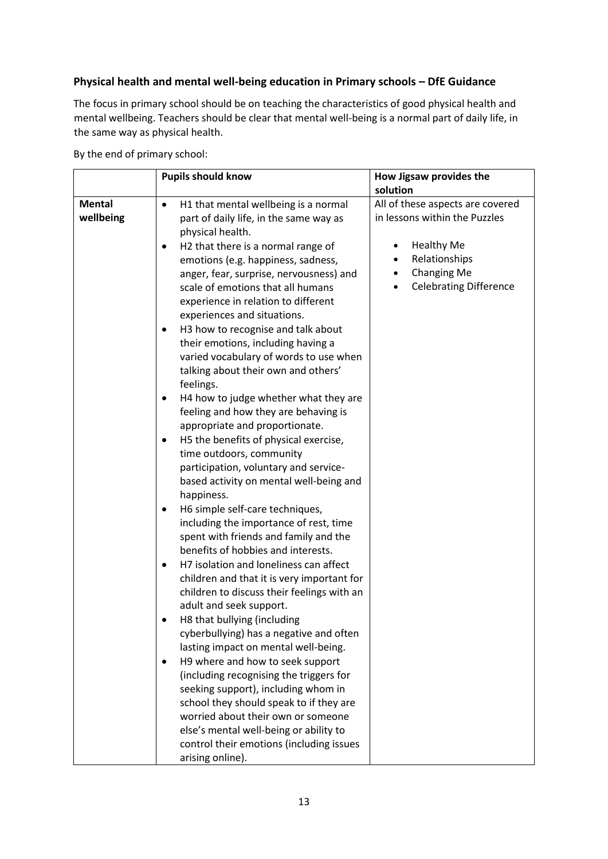## **Physical health and mental well-being education in Primary schools – DfE Guidance**

The focus in primary school should be on teaching the characteristics of good physical health and mental wellbeing. Teachers should be clear that mental well-being is a normal part of daily life, in the same way as physical health.

By the end of primary school:

|                            | <b>Pupils should know</b>                                                                                                                                                                                                                                                                                                                                                                                                                                                                                                                                                                                                                                                                                                                                                                                                                                                                                                                                                                                                                                                                                                                                                                                                                                                                                                                                                                                                                                                                                                                                                                                       | How Jigsaw provides the<br>solution                                                                                                                                         |
|----------------------------|-----------------------------------------------------------------------------------------------------------------------------------------------------------------------------------------------------------------------------------------------------------------------------------------------------------------------------------------------------------------------------------------------------------------------------------------------------------------------------------------------------------------------------------------------------------------------------------------------------------------------------------------------------------------------------------------------------------------------------------------------------------------------------------------------------------------------------------------------------------------------------------------------------------------------------------------------------------------------------------------------------------------------------------------------------------------------------------------------------------------------------------------------------------------------------------------------------------------------------------------------------------------------------------------------------------------------------------------------------------------------------------------------------------------------------------------------------------------------------------------------------------------------------------------------------------------------------------------------------------------|-----------------------------------------------------------------------------------------------------------------------------------------------------------------------------|
| <b>Mental</b><br>wellbeing | H1 that mental wellbeing is a normal<br>$\bullet$<br>part of daily life, in the same way as<br>physical health.<br>H2 that there is a normal range of<br>$\bullet$<br>emotions (e.g. happiness, sadness,<br>anger, fear, surprise, nervousness) and<br>scale of emotions that all humans<br>experience in relation to different<br>experiences and situations.<br>H3 how to recognise and talk about<br>their emotions, including having a<br>varied vocabulary of words to use when<br>talking about their own and others'<br>feelings.<br>H4 how to judge whether what they are<br>feeling and how they are behaving is<br>appropriate and proportionate.<br>H5 the benefits of physical exercise,<br>time outdoors, community<br>participation, voluntary and service-<br>based activity on mental well-being and<br>happiness.<br>H6 simple self-care techniques,<br>including the importance of rest, time<br>spent with friends and family and the<br>benefits of hobbies and interests.<br>H7 isolation and loneliness can affect<br>$\bullet$<br>children and that it is very important for<br>children to discuss their feelings with an<br>adult and seek support.<br>H8 that bullying (including<br>cyberbullying) has a negative and often<br>lasting impact on mental well-being.<br>H9 where and how to seek support<br>(including recognising the triggers for<br>seeking support), including whom in<br>school they should speak to if they are<br>worried about their own or someone<br>else's mental well-being or ability to<br>control their emotions (including issues<br>arising online). | All of these aspects are covered<br>in lessons within the Puzzles<br><b>Healthy Me</b><br>Relationships<br><b>Changing Me</b><br>$\bullet$<br><b>Celebrating Difference</b> |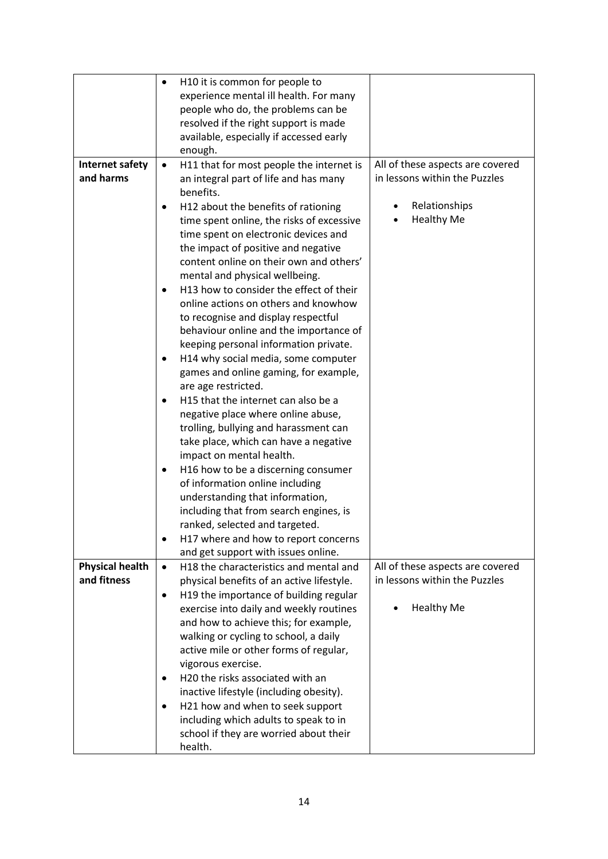|                        | ٠         | H10 it is common for people to                                    |                                  |
|------------------------|-----------|-------------------------------------------------------------------|----------------------------------|
|                        |           | experience mental ill health. For many                            |                                  |
|                        |           | people who do, the problems can be                                |                                  |
|                        |           | resolved if the right support is made                             |                                  |
|                        |           | available, especially if accessed early                           |                                  |
|                        |           | enough.                                                           |                                  |
| Internet safety        | $\bullet$ | H11 that for most people the internet is                          | All of these aspects are covered |
| and harms              |           | an integral part of life and has many                             | in lessons within the Puzzles    |
|                        |           | benefits.                                                         |                                  |
|                        |           | H12 about the benefits of rationing                               | Relationships                    |
|                        |           | time spent online, the risks of excessive                         | <b>Healthy Me</b>                |
|                        |           | time spent on electronic devices and                              |                                  |
|                        |           | the impact of positive and negative                               |                                  |
|                        |           | content online on their own and others'                           |                                  |
|                        |           | mental and physical wellbeing.                                    |                                  |
|                        | $\bullet$ | H13 how to consider the effect of their                           |                                  |
|                        |           | online actions on others and knowhow                              |                                  |
|                        |           | to recognise and display respectful                               |                                  |
|                        |           | behaviour online and the importance of                            |                                  |
|                        |           | keeping personal information private.                             |                                  |
|                        | ٠         | H14 why social media, some computer                               |                                  |
|                        |           | games and online gaming, for example,                             |                                  |
|                        |           | are age restricted.                                               |                                  |
|                        | $\bullet$ | H15 that the internet can also be a                               |                                  |
|                        |           | negative place where online abuse,                                |                                  |
|                        |           | trolling, bullying and harassment can                             |                                  |
|                        |           | take place, which can have a negative<br>impact on mental health. |                                  |
|                        |           | H16 how to be a discerning consumer                               |                                  |
|                        |           | of information online including                                   |                                  |
|                        |           | understanding that information,                                   |                                  |
|                        |           | including that from search engines, is                            |                                  |
|                        |           | ranked, selected and targeted.                                    |                                  |
|                        |           | H17 where and how to report concerns                              |                                  |
|                        |           | and get support with issues online.                               |                                  |
| <b>Physical health</b> | $\bullet$ | H18 the characteristics and mental and                            | All of these aspects are covered |
| and fitness            |           | physical benefits of an active lifestyle.                         | in lessons within the Puzzles    |
|                        | $\bullet$ | H19 the importance of building regular                            |                                  |
|                        |           | exercise into daily and weekly routines                           | <b>Healthy Me</b>                |
|                        |           | and how to achieve this; for example,                             |                                  |
|                        |           | walking or cycling to school, a daily                             |                                  |
|                        |           | active mile or other forms of regular,                            |                                  |
|                        |           | vigorous exercise.                                                |                                  |
|                        |           | H20 the risks associated with an                                  |                                  |
|                        |           | inactive lifestyle (including obesity).                           |                                  |
|                        | $\bullet$ | H21 how and when to seek support                                  |                                  |
|                        |           | including which adults to speak to in                             |                                  |
|                        |           | school if they are worried about their                            |                                  |
|                        |           | health.                                                           |                                  |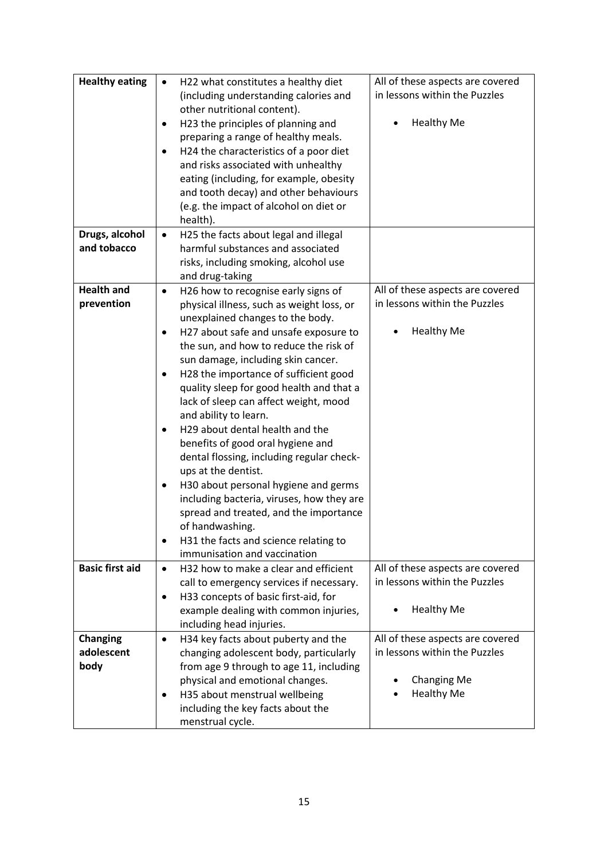| <b>Healthy eating</b>         | H22 what constitutes a healthy diet<br>$\bullet$                                           | All of these aspects are covered                                  |
|-------------------------------|--------------------------------------------------------------------------------------------|-------------------------------------------------------------------|
|                               | (including understanding calories and                                                      | in lessons within the Puzzles                                     |
|                               | other nutritional content).<br>H23 the principles of planning and<br>$\bullet$             | <b>Healthy Me</b>                                                 |
|                               | preparing a range of healthy meals.                                                        |                                                                   |
|                               | H24 the characteristics of a poor diet                                                     |                                                                   |
|                               | and risks associated with unhealthy                                                        |                                                                   |
|                               | eating (including, for example, obesity                                                    |                                                                   |
|                               | and tooth decay) and other behaviours                                                      |                                                                   |
|                               | (e.g. the impact of alcohol on diet or                                                     |                                                                   |
|                               | health).                                                                                   |                                                                   |
| Drugs, alcohol                | H25 the facts about legal and illegal<br>$\bullet$                                         |                                                                   |
| and tobacco                   | harmful substances and associated                                                          |                                                                   |
|                               | risks, including smoking, alcohol use                                                      |                                                                   |
| <b>Health and</b>             | and drug-taking<br>H26 how to recognise early signs of<br>$\bullet$                        | All of these aspects are covered                                  |
| prevention                    | physical illness, such as weight loss, or                                                  | in lessons within the Puzzles                                     |
|                               | unexplained changes to the body.                                                           |                                                                   |
|                               | H27 about safe and unsafe exposure to<br>$\bullet$                                         | <b>Healthy Me</b>                                                 |
|                               | the sun, and how to reduce the risk of                                                     |                                                                   |
|                               | sun damage, including skin cancer.                                                         |                                                                   |
|                               | H28 the importance of sufficient good<br>$\bullet$                                         |                                                                   |
|                               | quality sleep for good health and that a                                                   |                                                                   |
|                               | lack of sleep can affect weight, mood                                                      |                                                                   |
|                               | and ability to learn.                                                                      |                                                                   |
|                               | H29 about dental health and the<br>$\bullet$                                               |                                                                   |
|                               | benefits of good oral hygiene and                                                          |                                                                   |
|                               | dental flossing, including regular check-<br>ups at the dentist.                           |                                                                   |
|                               | H30 about personal hygiene and germs<br>٠                                                  |                                                                   |
|                               | including bacteria, viruses, how they are                                                  |                                                                   |
|                               | spread and treated, and the importance                                                     |                                                                   |
|                               | of handwashing.                                                                            |                                                                   |
|                               | H31 the facts and science relating to<br>$\bullet$                                         |                                                                   |
|                               | immunisation and vaccination                                                               |                                                                   |
| <b>Basic first aid</b>        | H32 how to make a clear and efficient<br>$\bullet$                                         | All of these aspects are covered                                  |
|                               | call to emergency services if necessary.                                                   | in lessons within the Puzzles                                     |
|                               | H33 concepts of basic first-aid, for<br>$\bullet$                                          |                                                                   |
|                               | example dealing with common injuries,                                                      | <b>Healthy Me</b>                                                 |
|                               | including head injuries.                                                                   |                                                                   |
| <b>Changing</b><br>adolescent | H34 key facts about puberty and the<br>$\bullet$<br>changing adolescent body, particularly | All of these aspects are covered<br>in lessons within the Puzzles |
| body                          | from age 9 through to age 11, including                                                    |                                                                   |
|                               | physical and emotional changes.                                                            | <b>Changing Me</b>                                                |
|                               | H35 about menstrual wellbeing<br>٠                                                         | <b>Healthy Me</b>                                                 |
|                               | including the key facts about the                                                          |                                                                   |
|                               | menstrual cycle.                                                                           |                                                                   |